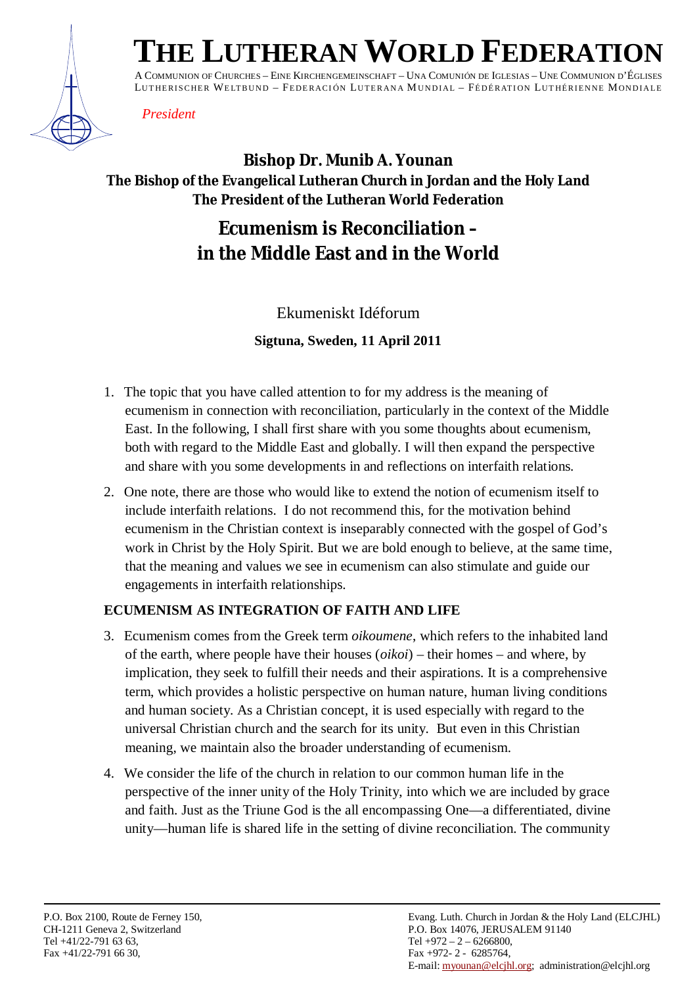

# $THE$  **LUTHERAN WORLD FEDERATION**

A COMMUNION OF CHURCHES – EINE KIRCHENGEMEINSCHAFT – UNA COMUNIÓN DE IGLESIAS – UNE COMMUNION D'ÉGLISES LUTHERISCHER WELTBUND - FEDERACIÓN LUTERANA MUNDIAL - FÉDÉRATION LUTHÉRIENNE MONDIALE

### *President*

# **Bishop Dr. Munib A. Younan The Bishop of the Evangelical Lutheran Church in Jordan and the Holy Land The President of the Lutheran World Federation**

# **Ecumenism is Reconciliation – in the Middle East and in the World**

# Ekumeniskt Idéforum **Sigtuna, Sweden, 11 April 2011**

- 1. The topic that you have called attention to for my address is the meaning of ecumenism in connection with reconciliation, particularly in the context of the Middle East. In the following, I shall first share with you some thoughts about ecumenism, both with regard to the Middle East and globally. I will then expand the perspective and share with you some developments in and reflections on interfaith relations.
- 2. One note, there are those who would like to extend the notion of ecumenism itself to include interfaith relations. I do not recommend this, for the motivation behind ecumenism in the Christian context is inseparably connected with the gospel of God's work in Christ by the Holy Spirit. But we are bold enough to believe, at the same time, that the meaning and values we see in ecumenism can also stimulate and guide our engagements in interfaith relationships.

## **ECUMENISM AS INTEGRATION OF FAITH AND LIFE**

- 3. Ecumenism comes from the Greek term *oikoumene*, which refers to the inhabited land of the earth, where people have their houses (*oikoi*) – their homes – and where, by implication, they seek to fulfill their needs and their aspirations. It is a comprehensive term, which provides a holistic perspective on human nature, human living conditions and human society. As a Christian concept, it is used especially with regard to the universal Christian church and the search for its unity. But even in this Christian meaning, we maintain also the broader understanding of ecumenism.
- 4. We consider the life of the church in relation to our common human life in the perspective of the inner unity of the Holy Trinity, into which we are included by grace and faith. Just as the Triune God is the all encompassing One—a differentiated, divine unity—human life is shared life in the setting of divine reconciliation. The community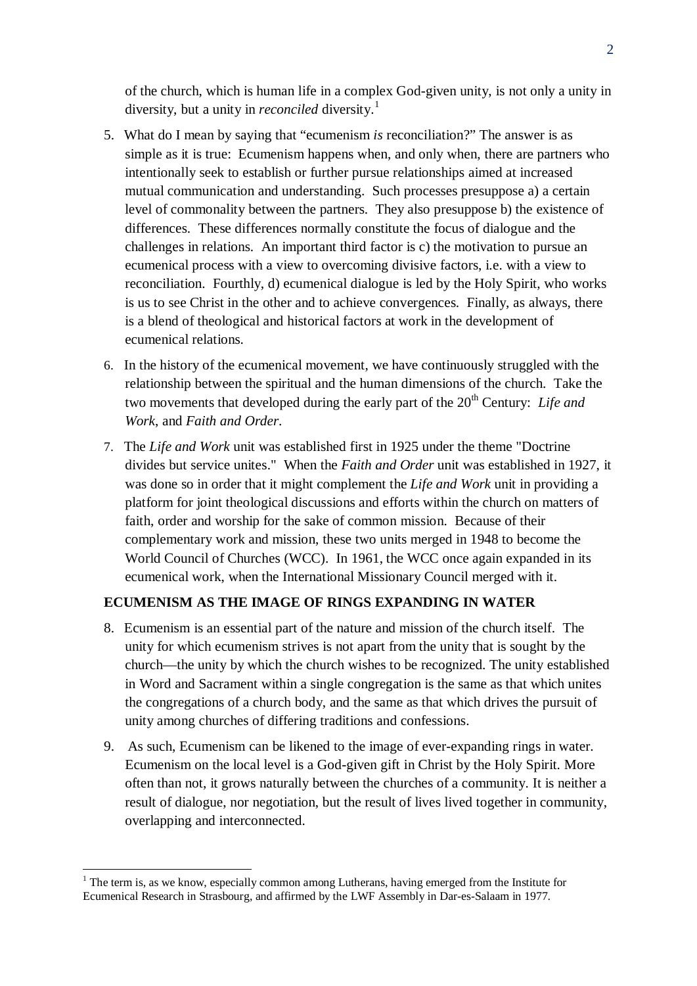of the church, which is human life in a complex God-given unity, is not only a unity in diversity, but a unity in *reconciled* diversity.<sup>1</sup>

- 5. What do I mean by saying that "ecumenism *is* reconciliation?" The answer is as simple as it is true: Ecumenism happens when, and only when, there are partners who intentionally seek to establish or further pursue relationships aimed at increased mutual communication and understanding. Such processes presuppose a) a certain level of commonality between the partners. They also presuppose b) the existence of differences. These differences normally constitute the focus of dialogue and the challenges in relations. An important third factor is c) the motivation to pursue an ecumenical process with a view to overcoming divisive factors, i.e. with a view to reconciliation. Fourthly, d) ecumenical dialogue is led by the Holy Spirit, who works is us to see Christ in the other and to achieve convergences. Finally, as always, there is a blend of theological and historical factors at work in the development of ecumenical relations.
- 6. In the history of the ecumenical movement, we have continuously struggled with the relationship between the spiritual and the human dimensions of the church. Take the two movements that developed during the early part of the 20<sup>th</sup> Century: *Life and Work*, and *Faith and Order*.
- 7. The *Life and Work* unit was established first in 1925 under the theme "Doctrine divides but service unites." When the *Faith and Order* unit was established in 1927, it was done so in order that it might complement the *Life and Work* unit in providing a platform for joint theological discussions and efforts within the church on matters of faith, order and worship for the sake of common mission. Because of their complementary work and mission, these two units merged in 1948 to become the World Council of Churches (WCC). In 1961, the WCC once again expanded in its ecumenical work, when the International Missionary Council merged with it.

#### **ECUMENISM AS THE IMAGE OF RINGS EXPANDING IN WATER**

- 8. Ecumenism is an essential part of the nature and mission of the church itself. The unity for which ecumenism strives is not apart from the unity that is sought by the church—the unity by which the church wishes to be recognized. The unity established in Word and Sacrament within a single congregation is the same as that which unites the congregations of a church body, and the same as that which drives the pursuit of unity among churches of differing traditions and confessions.
- 9. As such, Ecumenism can be likened to the image of ever-expanding rings in water. Ecumenism on the local level is a God-given gift in Christ by the Holy Spirit. More often than not, it grows naturally between the churches of a community. It is neither a result of dialogue, nor negotiation, but the result of lives lived together in community, overlapping and interconnected.

 $<sup>1</sup>$  The term is, as we know, especially common among Lutherans, having emerged from the Institute for</sup> Ecumenical Research in Strasbourg, and affirmed by the LWF Assembly in Dar-es-Salaam in 1977.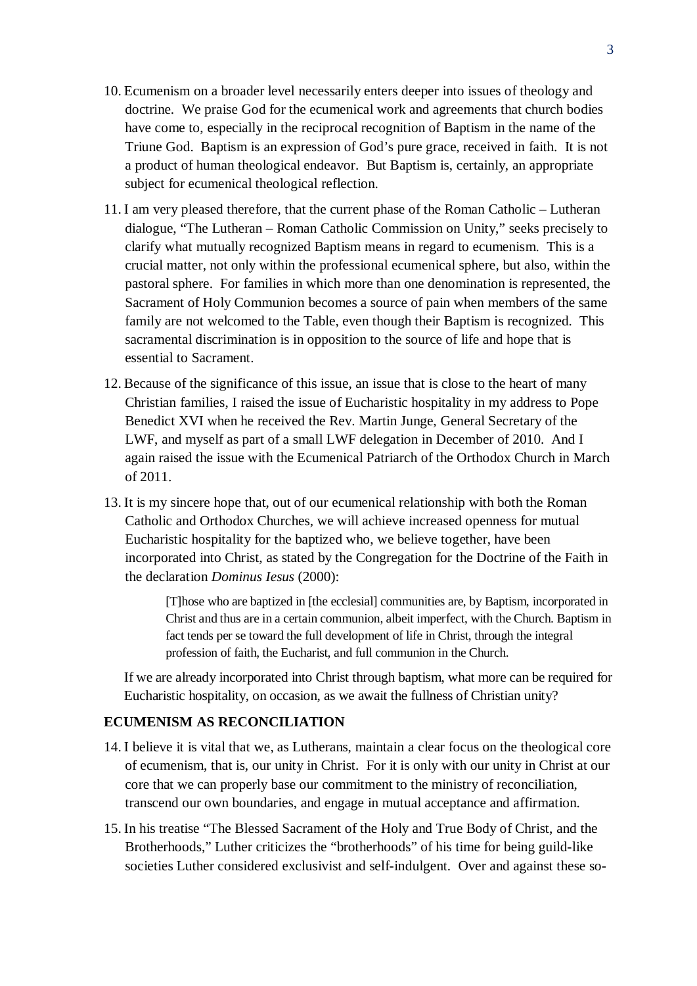- 10. Ecumenism on a broader level necessarily enters deeper into issues of theology and doctrine. We praise God for the ecumenical work and agreements that church bodies have come to, especially in the reciprocal recognition of Baptism in the name of the Triune God. Baptism is an expression of God's pure grace, received in faith. It is not a product of human theological endeavor. But Baptism is, certainly, an appropriate subject for ecumenical theological reflection.
- 11. I am very pleased therefore, that the current phase of the Roman Catholic Lutheran dialogue, "The Lutheran – Roman Catholic Commission on Unity," seeks precisely to clarify what mutually recognized Baptism means in regard to ecumenism. This is a crucial matter, not only within the professional ecumenical sphere, but also, within the pastoral sphere. For families in which more than one denomination is represented, the Sacrament of Holy Communion becomes a source of pain when members of the same family are not welcomed to the Table, even though their Baptism is recognized. This sacramental discrimination is in opposition to the source of life and hope that is essential to Sacrament.
- 12. Because of the significance of this issue, an issue that is close to the heart of many Christian families, I raised the issue of Eucharistic hospitality in my address to Pope Benedict XVI when he received the Rev. Martin Junge, General Secretary of the LWF, and myself as part of a small LWF delegation in December of 2010. And I again raised the issue with the Ecumenical Patriarch of the Orthodox Church in March of 2011.
- 13. It is my sincere hope that, out of our ecumenical relationship with both the Roman Catholic and Orthodox Churches, we will achieve increased openness for mutual Eucharistic hospitality for the baptized who, we believe together, have been incorporated into Christ, as stated by the Congregation for the Doctrine of the Faith in the declaration *Dominus Iesus* (2000):

[T]hose who are baptized in [the ecclesial] communities are, by Baptism, incorporated in Christ and thus are in a certain communion, albeit imperfect, with the Church. Baptism in fact tends per se toward the full development of life in Christ, through the integral profession of faith, the Eucharist, and full communion in the Church.

If we are already incorporated into Christ through baptism, what more can be required for Eucharistic hospitality, on occasion, as we await the fullness of Christian unity?

#### **ECUMENISM AS RECONCILIATION**

- 14. I believe it is vital that we, as Lutherans, maintain a clear focus on the theological core of ecumenism, that is, our unity in Christ. For it is only with our unity in Christ at our core that we can properly base our commitment to the ministry of reconciliation, transcend our own boundaries, and engage in mutual acceptance and affirmation.
- 15. In his treatise "The Blessed Sacrament of the Holy and True Body of Christ, and the Brotherhoods," Luther criticizes the "brotherhoods" of his time for being guild-like societies Luther considered exclusivist and self-indulgent. Over and against these so-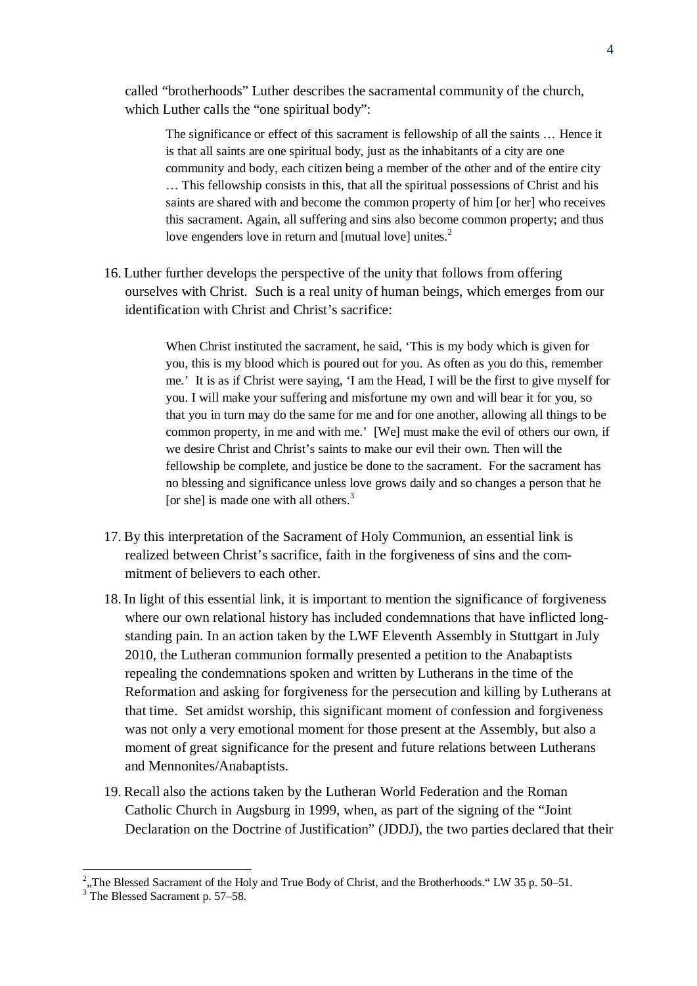called "brotherhoods" Luther describes the sacramental community of the church, which Luther calls the "one spiritual body":

The significance or effect of this sacrament is fellowship of all the saints … Hence it is that all saints are one spiritual body, just as the inhabitants of a city are one community and body, each citizen being a member of the other and of the entire city … This fellowship consists in this, that all the spiritual possessions of Christ and his saints are shared with and become the common property of him [or her] who receives this sacrament. Again, all suffering and sins also become common property; and thus love engenders love in return and [mutual love] unites.<sup>2</sup>

16. Luther further develops the perspective of the unity that follows from offering ourselves with Christ. Such is a real unity of human beings, which emerges from our identification with Christ and Christ's sacrifice:

> When Christ instituted the sacrament, he said, 'This is my body which is given for you, this is my blood which is poured out for you. As often as you do this, remember me.' It is as if Christ were saying, 'I am the Head, I will be the first to give myself for you. I will make your suffering and misfortune my own and will bear it for you, so that you in turn may do the same for me and for one another, allowing all things to be common property, in me and with me.' [We] must make the evil of others our own, if we desire Christ and Christ's saints to make our evil their own. Then will the fellowship be complete, and justice be done to the sacrament. For the sacrament has no blessing and significance unless love grows daily and so changes a person that he [or she] is made one with all others. $3$

- 17. By this interpretation of the Sacrament of Holy Communion, an essential link is realized between Christ's sacrifice, faith in the forgiveness of sins and the commitment of believers to each other.
- 18. In light of this essential link, it is important to mention the significance of forgiveness where our own relational history has included condemnations that have inflicted longstanding pain. In an action taken by the LWF Eleventh Assembly in Stuttgart in July 2010, the Lutheran communion formally presented a petition to the Anabaptists repealing the condemnations spoken and written by Lutherans in the time of the Reformation and asking for forgiveness for the persecution and killing by Lutherans at that time. Set amidst worship, this significant moment of confession and forgiveness was not only a very emotional moment for those present at the Assembly, but also a moment of great significance for the present and future relations between Lutherans and Mennonites/Anabaptists.
- 19. Recall also the actions taken by the Lutheran World Federation and the Roman Catholic Church in Augsburg in 1999, when, as part of the signing of the "Joint Declaration on the Doctrine of Justification" (JDDJ), the two parties declared that their

<sup>&</sup>lt;sup>2</sup>,,The Blessed Sacrament of the Holy and True Body of Christ, and the Brotherhoods." LW 35 p. 50–51.<br><sup>3</sup> The Blessed Sacrament p. 57–58.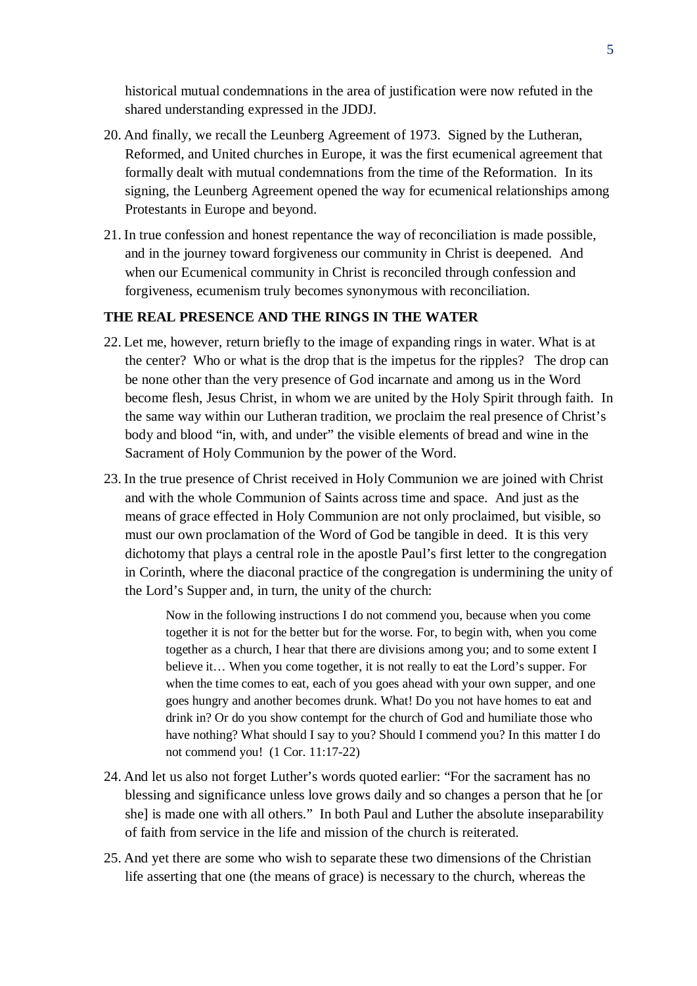historical mutual condemnations in the area of justification were now refuted in the shared understanding expressed in the JDDJ.

- 20. And finally, we recall the Leunberg Agreement of 1973. Signed by the Lutheran, Reformed, and United churches in Europe, it was the first ecumenical agreement that formally dealt with mutual condemnations from the time of the Reformation. In its signing, the Leunberg Agreement opened the way for ecumenical relationships among Protestants in Europe and beyond.
- 21. In true confession and honest repentance the way of reconciliation is made possible, and in the journey toward forgiveness our community in Christ is deepened. And when our Ecumenical community in Christ is reconciled through confession and forgiveness, ecumenism truly becomes synonymous with reconciliation.

#### **THE REAL PRESENCE AND THE RINGS IN THE WATER**

- 22. Let me, however, return briefly to the image of expanding rings in water. What is at the center? Who or what is the drop that is the impetus for the ripples? The drop can be none other than the very presence of God incarnate and among us in the Word become flesh, Jesus Christ, in whom we are united by the Holy Spirit through faith. In the same way within our Lutheran tradition, we proclaim the real presence of Christ's body and blood "in, with, and under" the visible elements of bread and wine in the Sacrament of Holy Communion by the power of the Word.
- 23. In the true presence of Christ received in Holy Communion we are joined with Christ and with the whole Communion of Saints across time and space. And just as the means of grace effected in Holy Communion are not only proclaimed, but visible, so must our own proclamation of the Word of God be tangible in deed. It is this very dichotomy that plays a central role in the apostle Paul's first letter to the congregation in Corinth, where the diaconal practice of the congregation is undermining the unity of the Lord's Supper and, in turn, the unity of the church:

Now in the following instructions I do not commend you, because when you come together it is not for the better but for the worse. For, to begin with, when you come together as a church, I hear that there are divisions among you; and to some extent I believe it… When you come together, it is not really to eat the Lord's supper. For when the time comes to eat, each of you goes ahead with your own supper, and one goes hungry and another becomes drunk. What! Do you not have homes to eat and drink in? Or do you show contempt for the church of God and humiliate those who have nothing? What should I say to you? Should I commend you? In this matter I do not commend you! (1 Cor. 11:17-22)

- 24. And let us also not forget Luther's words quoted earlier: "For the sacrament has no blessing and significance unless love grows daily and so changes a person that he [or she] is made one with all others." In both Paul and Luther the absolute inseparability of faith from service in the life and mission of the church is reiterated.
- 25. And yet there are some who wish to separate these two dimensions of the Christian life asserting that one (the means of grace) is necessary to the church, whereas the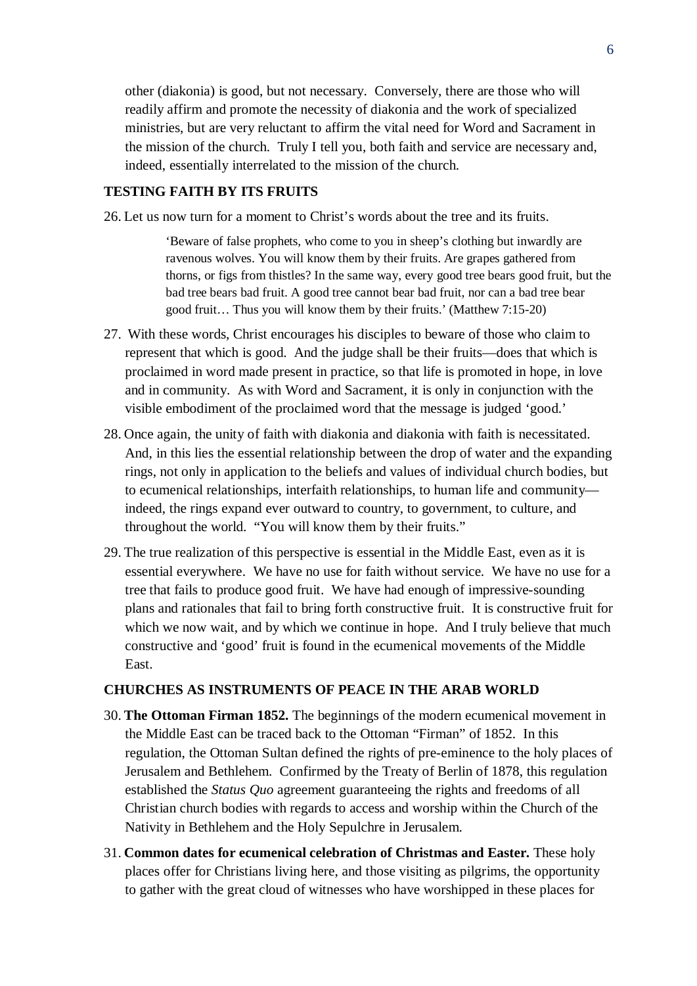other (diakonia) is good, but not necessary. Conversely, there are those who will readily affirm and promote the necessity of diakonia and the work of specialized ministries, but are very reluctant to affirm the vital need for Word and Sacrament in the mission of the church. Truly I tell you, both faith and service are necessary and, indeed, essentially interrelated to the mission of the church.

#### **TESTING FAITH BY ITS FRUITS**

26. Let us now turn for a moment to Christ's words about the tree and its fruits.

'Beware of false prophets, who come to you in sheep's clothing but inwardly are ravenous wolves. You will know them by their fruits. Are grapes gathered from thorns, or figs from thistles? In the same way, every good tree bears good fruit, but the bad tree bears bad fruit. A good tree cannot bear bad fruit, nor can a bad tree bear good fruit… Thus you will know them by their fruits.' (Matthew 7:15-20)

- 27. With these words, Christ encourages his disciples to beware of those who claim to represent that which is good. And the judge shall be their fruits—does that which is proclaimed in word made present in practice, so that life is promoted in hope, in love and in community. As with Word and Sacrament, it is only in conjunction with the visible embodiment of the proclaimed word that the message is judged 'good.'
- 28. Once again, the unity of faith with diakonia and diakonia with faith is necessitated. And, in this lies the essential relationship between the drop of water and the expanding rings, not only in application to the beliefs and values of individual church bodies, but to ecumenical relationships, interfaith relationships, to human life and community indeed, the rings expand ever outward to country, to government, to culture, and throughout the world. "You will know them by their fruits."
- 29. The true realization of this perspective is essential in the Middle East, even as it is essential everywhere. We have no use for faith without service. We have no use for a tree that fails to produce good fruit. We have had enough of impressive-sounding plans and rationales that fail to bring forth constructive fruit. It is constructive fruit for which we now wait, and by which we continue in hope. And I truly believe that much constructive and 'good' fruit is found in the ecumenical movements of the Middle East.

#### **CHURCHES AS INSTRUMENTS OF PEACE IN THE ARAB WORLD**

- 30. **The Ottoman Firman 1852.** The beginnings of the modern ecumenical movement in the Middle East can be traced back to the Ottoman "Firman" of 1852. In this regulation, the Ottoman Sultan defined the rights of pre-eminence to the holy places of Jerusalem and Bethlehem. Confirmed by the Treaty of Berlin of 1878, this regulation established the *Status Quo* agreement guaranteeing the rights and freedoms of all Christian church bodies with regards to access and worship within the Church of the Nativity in Bethlehem and the Holy Sepulchre in Jerusalem.
- 31. **Common dates for ecumenical celebration of Christmas and Easter.** These holy places offer for Christians living here, and those visiting as pilgrims, the opportunity to gather with the great cloud of witnesses who have worshipped in these places for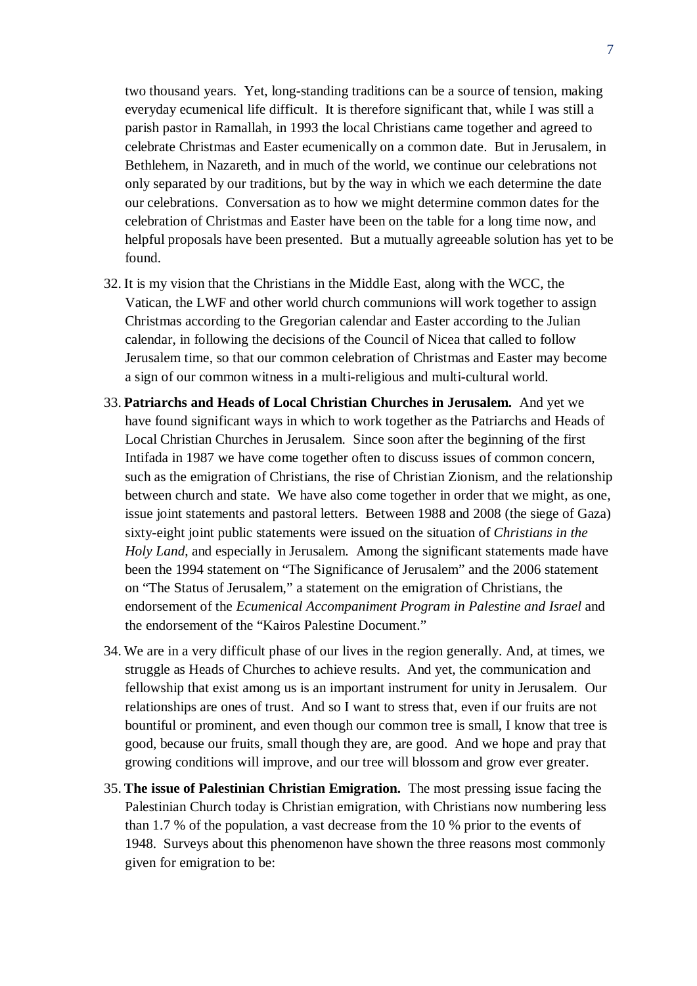two thousand years. Yet, long-standing traditions can be a source of tension, making everyday ecumenical life difficult. It is therefore significant that, while I was still a parish pastor in Ramallah, in 1993 the local Christians came together and agreed to celebrate Christmas and Easter ecumenically on a common date. But in Jerusalem, in Bethlehem, in Nazareth, and in much of the world, we continue our celebrations not only separated by our traditions, but by the way in which we each determine the date our celebrations. Conversation as to how we might determine common dates for the celebration of Christmas and Easter have been on the table for a long time now, and helpful proposals have been presented. But a mutually agreeable solution has yet to be found.

- 32. It is my vision that the Christians in the Middle East, along with the WCC, the Vatican, the LWF and other world church communions will work together to assign Christmas according to the Gregorian calendar and Easter according to the Julian calendar, in following the decisions of the Council of Nicea that called to follow Jerusalem time, so that our common celebration of Christmas and Easter may become a sign of our common witness in a multi-religious and multi-cultural world.
- 33. **Patriarchs and Heads of Local Christian Churches in Jerusalem.** And yet we have found significant ways in which to work together as the Patriarchs and Heads of Local Christian Churches in Jerusalem. Since soon after the beginning of the first Intifada in 1987 we have come together often to discuss issues of common concern, such as the emigration of Christians, the rise of Christian Zionism, and the relationship between church and state. We have also come together in order that we might, as one, issue joint statements and pastoral letters. Between 1988 and 2008 (the siege of Gaza) sixty-eight joint public statements were issued on the situation of *Christians in the Holy Land*, and especially in Jerusalem. Among the significant statements made have been the 1994 statement on "The Significance of Jerusalem" and the 2006 statement on "The Status of Jerusalem," a statement on the emigration of Christians, the endorsement of the *Ecumenical Accompaniment Program in Palestine and Israel* and the endorsement of the "Kairos Palestine Document."
- 34. We are in a very difficult phase of our lives in the region generally. And, at times, we struggle as Heads of Churches to achieve results. And yet, the communication and fellowship that exist among us is an important instrument for unity in Jerusalem. Our relationships are ones of trust. And so I want to stress that, even if our fruits are not bountiful or prominent, and even though our common tree is small, I know that tree is good, because our fruits, small though they are, are good. And we hope and pray that growing conditions will improve, and our tree will blossom and grow ever greater.
- 35. **The issue of Palestinian Christian Emigration.** The most pressing issue facing the Palestinian Church today is Christian emigration, with Christians now numbering less than 1.7 % of the population, a vast decrease from the 10 % prior to the events of 1948. Surveys about this phenomenon have shown the three reasons most commonly given for emigration to be: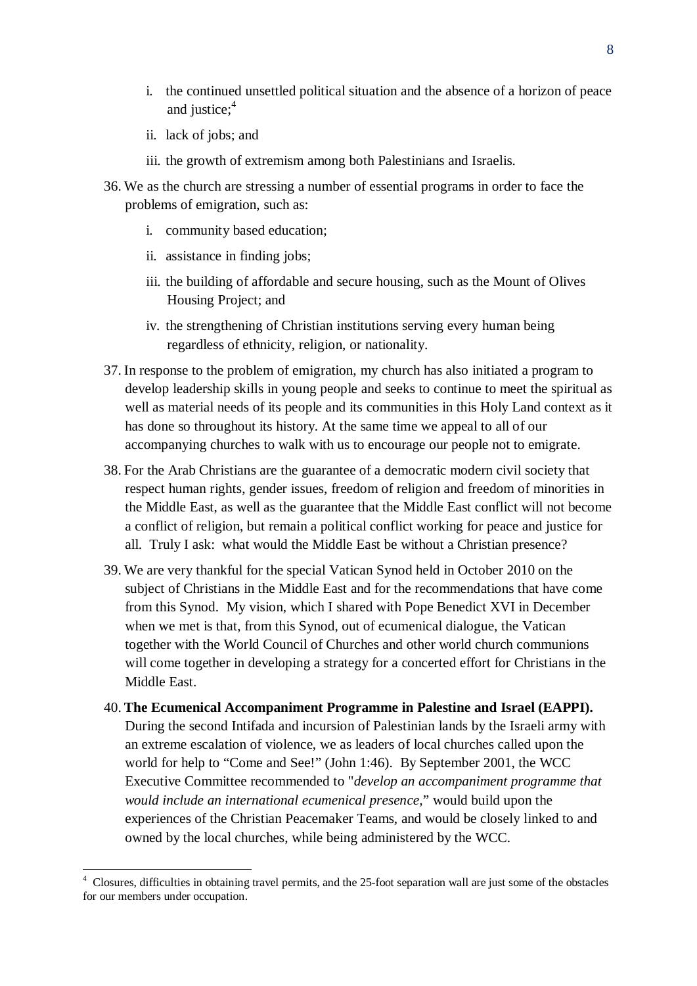- i. the continued unsettled political situation and the absence of a horizon of peace and justice; $4$
- ii. lack of jobs; and
- iii. the growth of extremism among both Palestinians and Israelis.
- 36. We as the church are stressing a number of essential programs in order to face the problems of emigration, such as:
	- i. community based education;
	- ii. assistance in finding jobs;
	- iii. the building of affordable and secure housing, such as the Mount of Olives Housing Project; and
	- iv. the strengthening of Christian institutions serving every human being regardless of ethnicity, religion, or nationality.
- 37. In response to the problem of emigration, my church has also initiated a program to develop leadership skills in young people and seeks to continue to meet the spiritual as well as material needs of its people and its communities in this Holy Land context as it has done so throughout its history. At the same time we appeal to all of our accompanying churches to walk with us to encourage our people not to emigrate.
- 38. For the Arab Christians are the guarantee of a democratic modern civil society that respect human rights, gender issues, freedom of religion and freedom of minorities in the Middle East, as well as the guarantee that the Middle East conflict will not become a conflict of religion, but remain a political conflict working for peace and justice for all. Truly I ask: what would the Middle East be without a Christian presence?
- 39. We are very thankful for the special Vatican Synod held in October 2010 on the subject of Christians in the Middle East and for the recommendations that have come from this Synod. My vision, which I shared with Pope Benedict XVI in December when we met is that, from this Synod, out of ecumenical dialogue, the Vatican together with the World Council of Churches and other world church communions will come together in developing a strategy for a concerted effort for Christians in the Middle East.
- 40. **The Ecumenical Accompaniment Programme in Palestine and Israel (EAPPI).** During the second Intifada and incursion of Palestinian lands by the Israeli army with an extreme escalation of violence, we as leaders of local churches called upon the world for help to "Come and See!" (John 1:46). By September 2001, the WCC Executive Committee recommended to "*develop an accompaniment programme that would include an international ecumenical presence,*" would build upon the experiences of the Christian Peacemaker Teams, and would be closely linked to and owned by the local churches, while being administered by the WCC.

<sup>4</sup> Closures, difficulties in obtaining travel permits, and the 25-foot separation wall are just some of the obstacles for our members under occupation.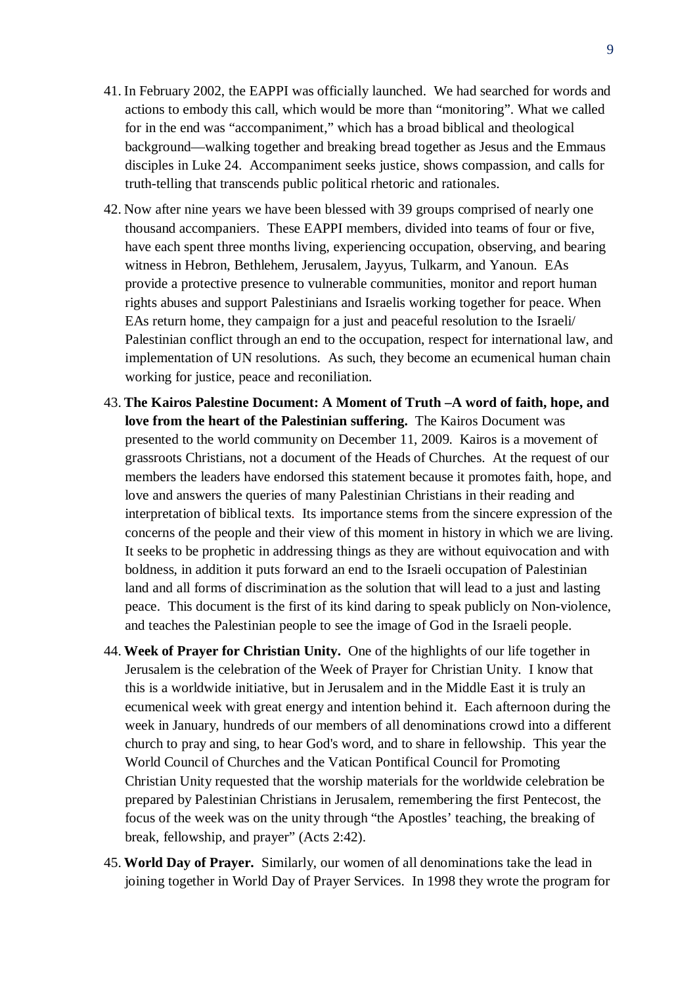- 41. In February 2002, the EAPPI was officially launched. We had searched for words and actions to embody this call, which would be more than "monitoring". What we called for in the end was "accompaniment," which has a broad biblical and theological background—walking together and breaking bread together as Jesus and the Emmaus disciples in Luke 24. Accompaniment seeks justice, shows compassion, and calls for truth-telling that transcends public political rhetoric and rationales.
- 42. Now after nine years we have been blessed with 39 groups comprised of nearly one thousand accompaniers. These EAPPI members, divided into teams of four or five, have each spent three months living, experiencing occupation, observing, and bearing witness in Hebron, Bethlehem, Jerusalem, Jayyus, Tulkarm, and Yanoun. EAs provide a protective presence to vulnerable communities, monitor and report human rights abuses and support Palestinians and Israelis working together for peace. When EAs return home, they campaign for a just and peaceful resolution to the Israeli/ Palestinian conflict through an end to the occupation, respect for international law, and implementation of UN resolutions. As such, they become an ecumenical human chain working for justice, peace and reconiliation.
- 43. **The Kairos Palestine Document: A Moment of Truth –A word of faith, hope, and love from the heart of the Palestinian suffering.** The Kairos Document was presented to the world community on December 11, 2009. Kairos is a movement of grassroots Christians, not a document of the Heads of Churches. At the request of our members the leaders have endorsed this statement because it promotes faith, hope, and love and answers the queries of many Palestinian Christians in their reading and interpretation of biblical texts. Its importance stems from the sincere expression of the concerns of the people and their view of this moment in history in which we are living. It seeks to be prophetic in addressing things as they are without equivocation and with boldness, in addition it puts forward an end to the Israeli occupation of Palestinian land and all forms of discrimination as the solution that will lead to a just and lasting peace. This document is the first of its kind daring to speak publicly on Non-violence, and teaches the Palestinian people to see the image of God in the Israeli people.
- 44. **Week of Prayer for Christian Unity.** One of the highlights of our life together in Jerusalem is the celebration of the Week of Prayer for Christian Unity. I know that this is a worldwide initiative, but in Jerusalem and in the Middle East it is truly an ecumenical week with great energy and intention behind it. Each afternoon during the week in January, hundreds of our members of all denominations crowd into a different church to pray and sing, to hear God's word, and to share in fellowship. This year the World Council of Churches and the Vatican Pontifical Council for Promoting Christian Unity requested that the worship materials for the worldwide celebration be prepared by Palestinian Christians in Jerusalem, remembering the first Pentecost, the focus of the week was on the unity through "the Apostles' teaching, the breaking of break, fellowship, and prayer" (Acts 2:42).
- 45. **World Day of Prayer.** Similarly, our women of all denominations take the lead in joining together in World Day of Prayer Services. In 1998 they wrote the program for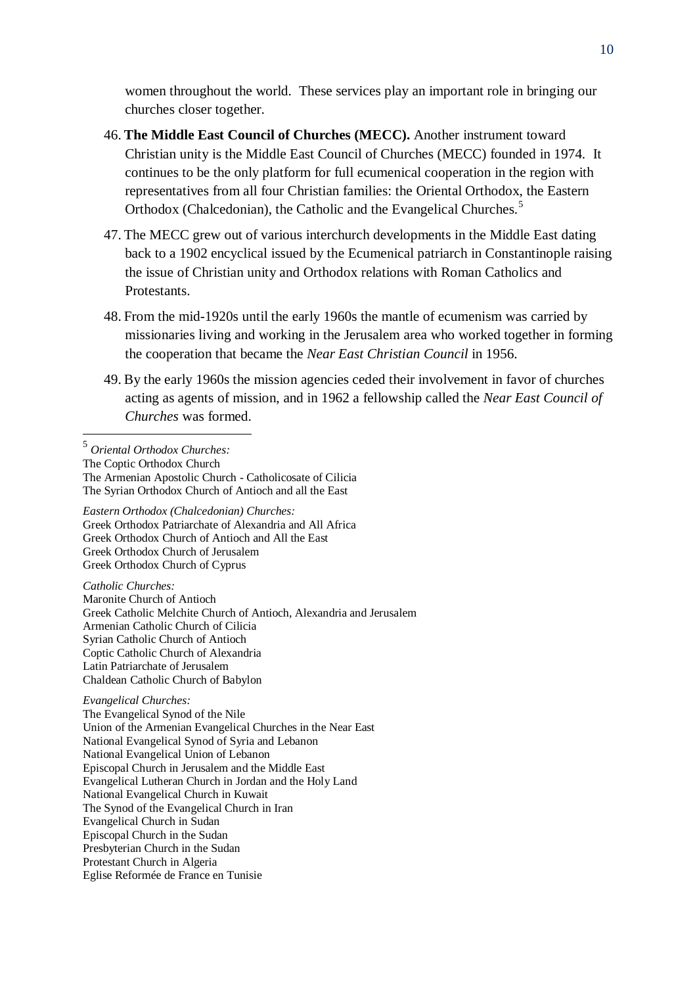women throughout the world. These services play an important role in bringing our churches closer together.

- 46. **The Middle East Council of Churches (MECC).** Another instrument toward Christian unity is the Middle East Council of Churches (MECC) founded in 1974. It continues to be the only platform for full ecumenical cooperation in the region with representatives from all four Christian families: the Oriental Orthodox, the Eastern Orthodox (Chalcedonian), the Catholic and the Evangelical Churches.<sup>5</sup>
- 47. The MECC grew out of various interchurch developments in the Middle East dating back to a 1902 encyclical issued by the Ecumenical patriarch in Constantinople raising the issue of Christian unity and Orthodox relations with Roman Catholics and Protestants.
- 48. From the mid-1920s until the early 1960s the mantle of ecumenism was carried by missionaries living and working in the Jerusalem area who worked together in forming the cooperation that became the *Near East Christian Council* in 1956.
- 49. By the early 1960s the mission agencies ceded their involvement in favor of churches acting as agents of mission, and in 1962 a fellowship called the *Near East Council of Churches* was formed.

5 *Oriental Orthodox Churches:* The Coptic Orthodox Church The Armenian Apostolic Church - Catholicosate of Cilicia The Syrian Orthodox Church of Antioch and all the East

*Eastern Orthodox (Chalcedonian) Churches:* Greek Orthodox Patriarchate of Alexandria and All Africa Greek Orthodox Church of Antioch and All the East Greek Orthodox Church of Jerusalem Greek Orthodox Church of Cyprus

*Catholic Churches:* Maronite Church of Antioch Greek Catholic Melchite Church of Antioch, Alexandria and Jerusalem Armenian Catholic Church of Cilicia Syrian Catholic Church of Antioch Coptic Catholic Church of Alexandria Latin Patriarchate of Jerusalem Chaldean Catholic Church of Babylon

*Evangelical Churches:* The Evangelical Synod of the Nile Union of the Armenian Evangelical Churches in the Near East National Evangelical Synod of Syria and Lebanon National Evangelical Union of Lebanon Episcopal Church in Jerusalem and the Middle East Evangelical Lutheran Church in Jordan and the Holy Land National Evangelical Church in Kuwait The Synod of the Evangelical Church in Iran Evangelical Church in Sudan Episcopal Church in the Sudan Presbyterian Church in the Sudan Protestant Church in Algeria Eglise Reformée de France en Tunisie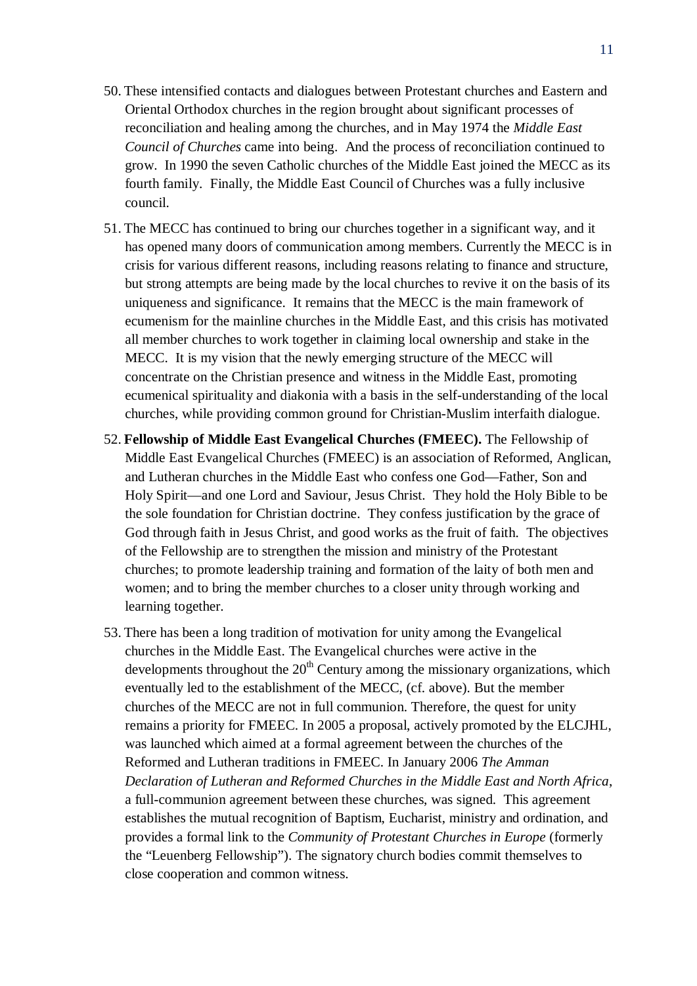- 50. These intensified contacts and dialogues between Protestant churches and Eastern and Oriental Orthodox churches in the region brought about significant processes of reconciliation and healing among the churches, and in May 1974 the *Middle East Council of Churches* came into being. And the process of reconciliation continued to grow. In 1990 the seven Catholic churches of the Middle East joined the MECC as its fourth family. Finally, the Middle East Council of Churches was a fully inclusive council.
- 51. The MECC has continued to bring our churches together in a significant way, and it has opened many doors of communication among members. Currently the MECC is in crisis for various different reasons, including reasons relating to finance and structure, but strong attempts are being made by the local churches to revive it on the basis of its uniqueness and significance. It remains that the MECC is the main framework of ecumenism for the mainline churches in the Middle East, and this crisis has motivated all member churches to work together in claiming local ownership and stake in the MECC. It is my vision that the newly emerging structure of the MECC will concentrate on the Christian presence and witness in the Middle East, promoting ecumenical spirituality and diakonia with a basis in the self-understanding of the local churches, while providing common ground for Christian-Muslim interfaith dialogue.
- 52. **Fellowship of Middle East Evangelical Churches (FMEEC).** The Fellowship of Middle East Evangelical Churches (FMEEC) is an association of Reformed, Anglican, and Lutheran churches in the Middle East who confess one God—Father, Son and Holy Spirit—and one Lord and Saviour, Jesus Christ. They hold the Holy Bible to be the sole foundation for Christian doctrine. They confess justification by the grace of God through faith in Jesus Christ, and good works as the fruit of faith. The objectives of the Fellowship are to strengthen the mission and ministry of the Protestant churches; to promote leadership training and formation of the laity of both men and women; and to bring the member churches to a closer unity through working and learning together.
- 53. There has been a long tradition of motivation for unity among the Evangelical churches in the Middle East. The Evangelical churches were active in the developments throughout the  $20<sup>th</sup>$  Century among the missionary organizations, which eventually led to the establishment of the MECC, (cf. above). But the member churches of the MECC are not in full communion. Therefore, the quest for unity remains a priority for FMEEC. In 2005 a proposal, actively promoted by the ELCJHL, was launched which aimed at a formal agreement between the churches of the Reformed and Lutheran traditions in FMEEC. In January 2006 *The Amman Declaration of Lutheran and Reformed Churches in the Middle East and North Africa*, a full-communion agreement between these churches, was signed. This agreement establishes the mutual recognition of Baptism, Eucharist, ministry and ordination, and provides a formal link to the *Community of Protestant Churches in Europe* (formerly the "Leuenberg Fellowship"). The signatory church bodies commit themselves to close cooperation and common witness.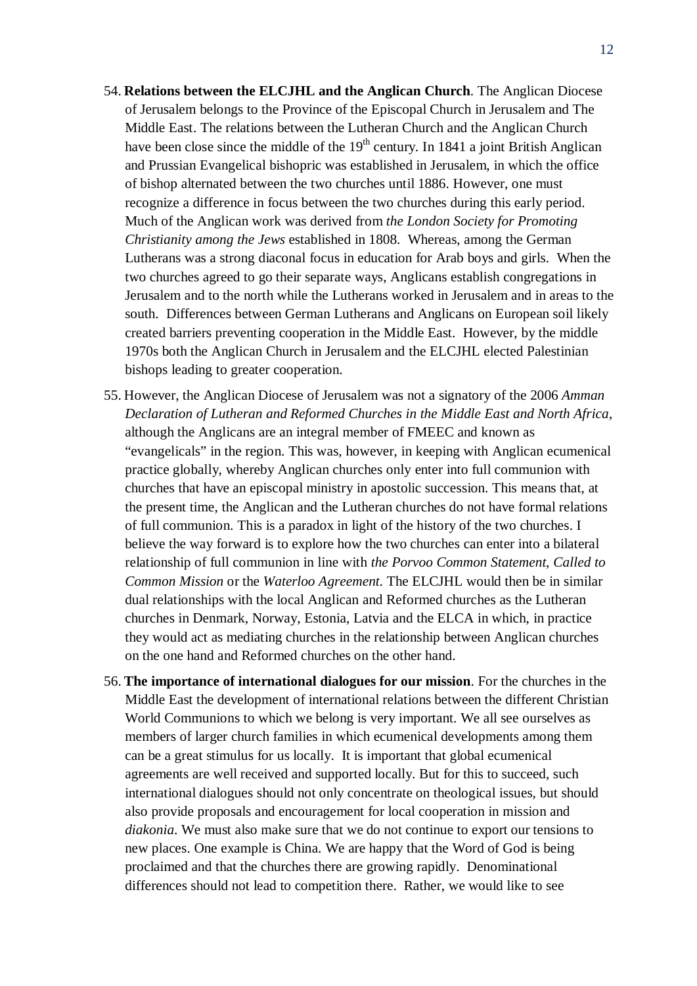- 54. **Relations between the ELCJHL and the Anglican Church**. The Anglican Diocese of Jerusalem belongs to the Province of the Episcopal Church in Jerusalem and The Middle East. The relations between the Lutheran Church and the Anglican Church have been close since the middle of the  $19<sup>th</sup>$  century. In 1841 a joint British Anglican and Prussian Evangelical bishopric was established in Jerusalem, in which the office of bishop alternated between the two churches until 1886. However, one must recognize a difference in focus between the two churches during this early period. Much of the Anglican work was derived from *the London Society for Promoting Christianity among the Jews* established in 1808. Whereas, among the German Lutherans was a strong diaconal focus in education for Arab boys and girls. When the two churches agreed to go their separate ways, Anglicans establish congregations in Jerusalem and to the north while the Lutherans worked in Jerusalem and in areas to the south. Differences between German Lutherans and Anglicans on European soil likely created barriers preventing cooperation in the Middle East. However, by the middle 1970s both the Anglican Church in Jerusalem and the ELCJHL elected Palestinian bishops leading to greater cooperation.
- 55. However, the Anglican Diocese of Jerusalem was not a signatory of the 2006 *Amman Declaration of Lutheran and Reformed Churches in the Middle East and North Africa*, although the Anglicans are an integral member of FMEEC and known as "evangelicals" in the region. This was, however, in keeping with Anglican ecumenical practice globally, whereby Anglican churches only enter into full communion with churches that have an episcopal ministry in apostolic succession. This means that, at the present time, the Anglican and the Lutheran churches do not have formal relations of full communion. This is a paradox in light of the history of the two churches. I believe the way forward is to explore how the two churches can enter into a bilateral relationship of full communion in line with *the Porvoo Common Statement*, *Called to Common Mission* or the *Waterloo Agreement*. The ELCJHL would then be in similar dual relationships with the local Anglican and Reformed churches as the Lutheran churches in Denmark, Norway, Estonia, Latvia and the ELCA in which, in practice they would act as mediating churches in the relationship between Anglican churches on the one hand and Reformed churches on the other hand.
- 56. **The importance of international dialogues for our mission**. For the churches in the Middle East the development of international relations between the different Christian World Communions to which we belong is very important. We all see ourselves as members of larger church families in which ecumenical developments among them can be a great stimulus for us locally. It is important that global ecumenical agreements are well received and supported locally. But for this to succeed, such international dialogues should not only concentrate on theological issues, but should also provide proposals and encouragement for local cooperation in mission and *diakonia*. We must also make sure that we do not continue to export our tensions to new places. One example is China. We are happy that the Word of God is being proclaimed and that the churches there are growing rapidly. Denominational differences should not lead to competition there. Rather, we would like to see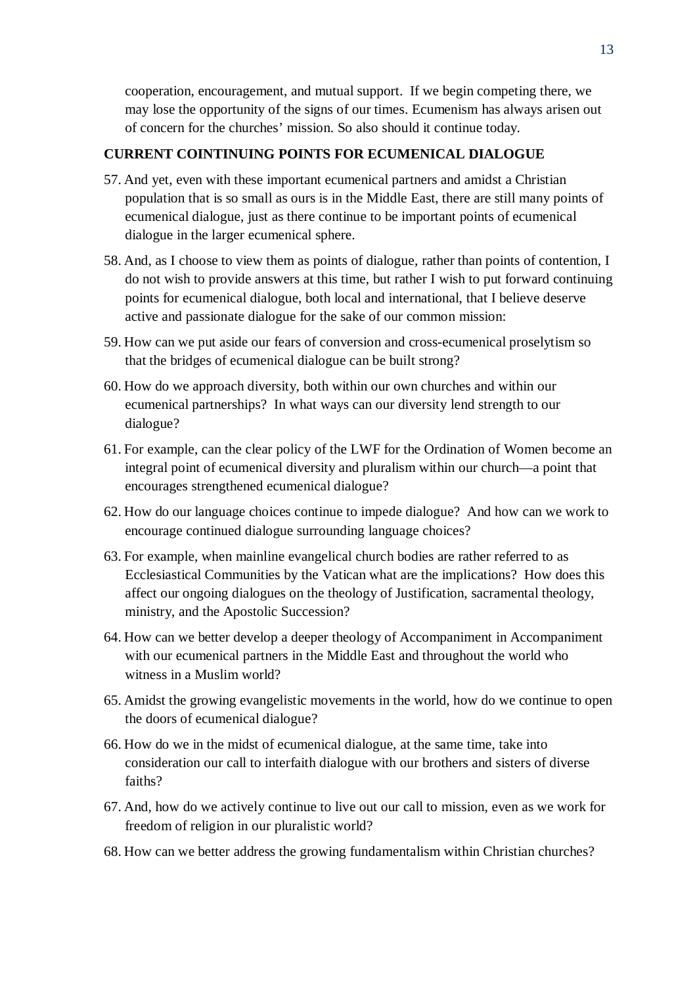cooperation, encouragement, and mutual support. If we begin competing there, we may lose the opportunity of the signs of our times. Ecumenism has always arisen out of concern for the churches' mission. So also should it continue today.

#### **CURRENT COINTINUING POINTS FOR ECUMENICAL DIALOGUE**

- 57. And yet, even with these important ecumenical partners and amidst a Christian population that is so small as ours is in the Middle East, there are still many points of ecumenical dialogue, just as there continue to be important points of ecumenical dialogue in the larger ecumenical sphere.
- 58. And, as I choose to view them as points of dialogue, rather than points of contention, I do not wish to provide answers at this time, but rather I wish to put forward continuing points for ecumenical dialogue, both local and international, that I believe deserve active and passionate dialogue for the sake of our common mission:
- 59. How can we put aside our fears of conversion and cross-ecumenical proselytism so that the bridges of ecumenical dialogue can be built strong?
- 60. How do we approach diversity, both within our own churches and within our ecumenical partnerships? In what ways can our diversity lend strength to our dialogue?
- 61. For example, can the clear policy of the LWF for the Ordination of Women become an integral point of ecumenical diversity and pluralism within our church—a point that encourages strengthened ecumenical dialogue?
- 62. How do our language choices continue to impede dialogue? And how can we work to encourage continued dialogue surrounding language choices?
- 63. For example, when mainline evangelical church bodies are rather referred to as Ecclesiastical Communities by the Vatican what are the implications? How does this affect our ongoing dialogues on the theology of Justification, sacramental theology, ministry, and the Apostolic Succession?
- 64. How can we better develop a deeper theology of Accompaniment in Accompaniment with our ecumenical partners in the Middle East and throughout the world who witness in a Muslim world?
- 65. Amidst the growing evangelistic movements in the world, how do we continue to open the doors of ecumenical dialogue?
- 66. How do we in the midst of ecumenical dialogue, at the same time, take into consideration our call to interfaith dialogue with our brothers and sisters of diverse faiths?
- 67. And, how do we actively continue to live out our call to mission, even as we work for freedom of religion in our pluralistic world?
- 68. How can we better address the growing fundamentalism within Christian churches?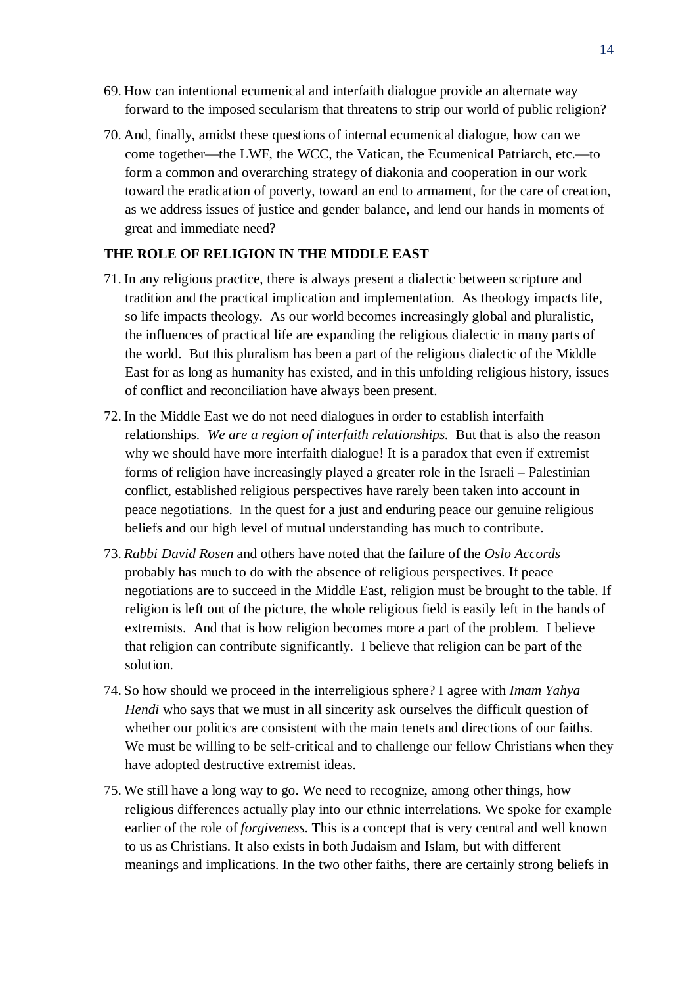- 69. How can intentional ecumenical and interfaith dialogue provide an alternate way forward to the imposed secularism that threatens to strip our world of public religion?
- 70. And, finally, amidst these questions of internal ecumenical dialogue, how can we come together—the LWF, the WCC, the Vatican, the Ecumenical Patriarch, etc.—to form a common and overarching strategy of diakonia and cooperation in our work toward the eradication of poverty, toward an end to armament, for the care of creation, as we address issues of justice and gender balance, and lend our hands in moments of great and immediate need?

#### **THE ROLE OF RELIGION IN THE MIDDLE EAST**

- 71. In any religious practice, there is always present a dialectic between scripture and tradition and the practical implication and implementation. As theology impacts life, so life impacts theology. As our world becomes increasingly global and pluralistic, the influences of practical life are expanding the religious dialectic in many parts of the world. But this pluralism has been a part of the religious dialectic of the Middle East for as long as humanity has existed, and in this unfolding religious history, issues of conflict and reconciliation have always been present.
- 72. In the Middle East we do not need dialogues in order to establish interfaith relationships. *We are a region of interfaith relationships.* But that is also the reason why we should have more interfaith dialogue! It is a paradox that even if extremist forms of religion have increasingly played a greater role in the Israeli – Palestinian conflict, established religious perspectives have rarely been taken into account in peace negotiations. In the quest for a just and enduring peace our genuine religious beliefs and our high level of mutual understanding has much to contribute.
- 73. *Rabbi David Rosen* and others have noted that the failure of the *Oslo Accords* probably has much to do with the absence of religious perspectives. If peace negotiations are to succeed in the Middle East, religion must be brought to the table. If religion is left out of the picture, the whole religious field is easily left in the hands of extremists. And that is how religion becomes more a part of the problem. I believe that religion can contribute significantly. I believe that religion can be part of the solution.
- 74. So how should we proceed in the interreligious sphere? I agree with *Imam Yahya Hendi* who says that we must in all sincerity ask ourselves the difficult question of whether our politics are consistent with the main tenets and directions of our faiths. We must be willing to be self-critical and to challenge our fellow Christians when they have adopted destructive extremist ideas.
- 75. We still have a long way to go. We need to recognize, among other things, how religious differences actually play into our ethnic interrelations. We spoke for example earlier of the role of *forgiveness*. This is a concept that is very central and well known to us as Christians. It also exists in both Judaism and Islam, but with different meanings and implications. In the two other faiths, there are certainly strong beliefs in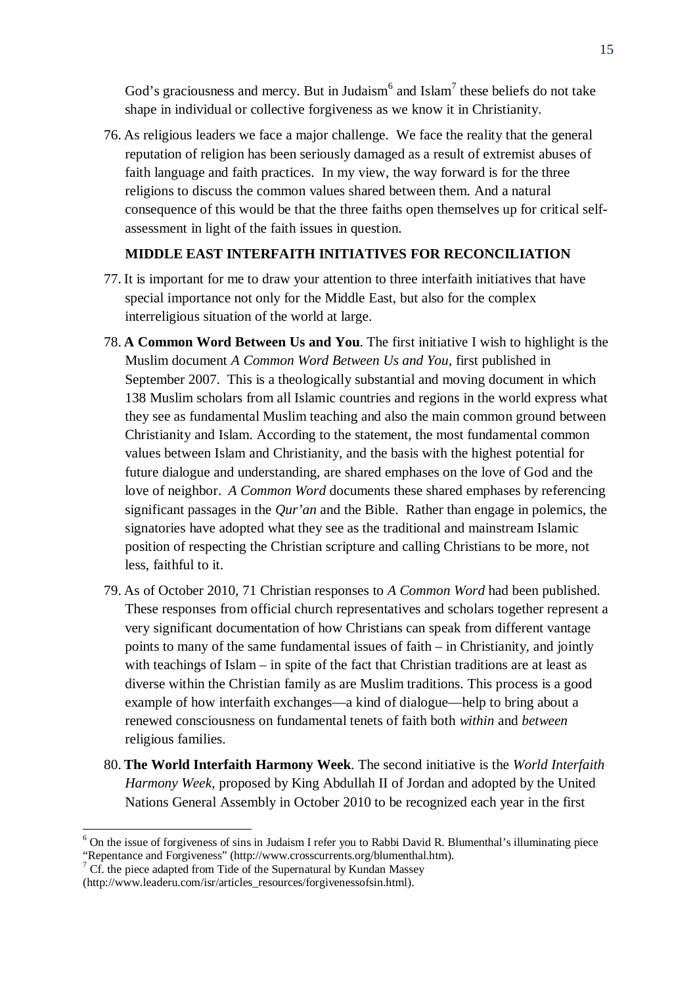God's graciousness and mercy. But in Judaism $^6$  and Islam $^7$  these beliefs do not take shape in individual or collective forgiveness as we know it in Christianity.

76. As religious leaders we face a major challenge. We face the reality that the general reputation of religion has been seriously damaged as a result of extremist abuses of faith language and faith practices. In my view, the way forward is for the three religions to discuss the common values shared between them. And a natural consequence of this would be that the three faiths open themselves up for critical selfassessment in light of the faith issues in question.

#### **MIDDLE EAST INTERFAITH INITIATIVES FOR RECONCILIATION**

- 77. It is important for me to draw your attention to three interfaith initiatives that have special importance not only for the Middle East, but also for the complex interreligious situation of the world at large.
- 78. **A Common Word Between Us and You**. The first initiative I wish to highlight is the Muslim document *A Common Word Between Us and You,* first published in September 2007. This is a theologically substantial and moving document in which 138 Muslim scholars from all Islamic countries and regions in the world express what they see as fundamental Muslim teaching and also the main common ground between Christianity and Islam. According to the statement, the most fundamental common values between Islam and Christianity, and the basis with the highest potential for future dialogue and understanding, are shared emphases on the love of God and the love of neighbor. *A Common Word* documents these shared emphases by referencing significant passages in the *Qur'an* and the Bible. Rather than engage in polemics, the signatories have adopted what they see as the traditional and mainstream Islamic position of respecting the Christian scripture and calling Christians to be more, not less, faithful to it.
- 79. As of October 2010, 71 Christian responses to *A Common Word* had been published. These responses from official church representatives and scholars together represent a very significant documentation of how Christians can speak from different vantage points to many of the same fundamental issues of faith – in Christianity, and jointly with teachings of Islam – in spite of the fact that Christian traditions are at least as diverse within the Christian family as are Muslim traditions. This process is a good example of how interfaith exchanges—a kind of dialogue—help to bring about a renewed consciousness on fundamental tenets of faith both *within* and *between* religious families.
- 80. **The World Interfaith Harmony Week**. The second initiative is the *World Interfaith Harmony Week*, proposed by King Abdullah II of Jordan and adopted by the United Nations General Assembly in October 2010 to be recognized each year in the first

<sup>&</sup>lt;sup>6</sup> On the issue of forgiveness of sins in Judaism I refer you to Rabbi David R. Blumenthal's illuminating piece "Repentance and Forgiveness" (http://www.crosscurrents.org/blumenthal.htm).

 $\frac{7}{7}$  Cf. the piece adapted from Tide of the Supernatural by Kundan Massey

<sup>(</sup>http://www.leaderu.com/isr/articles\_resources/forgivenessofsin.html).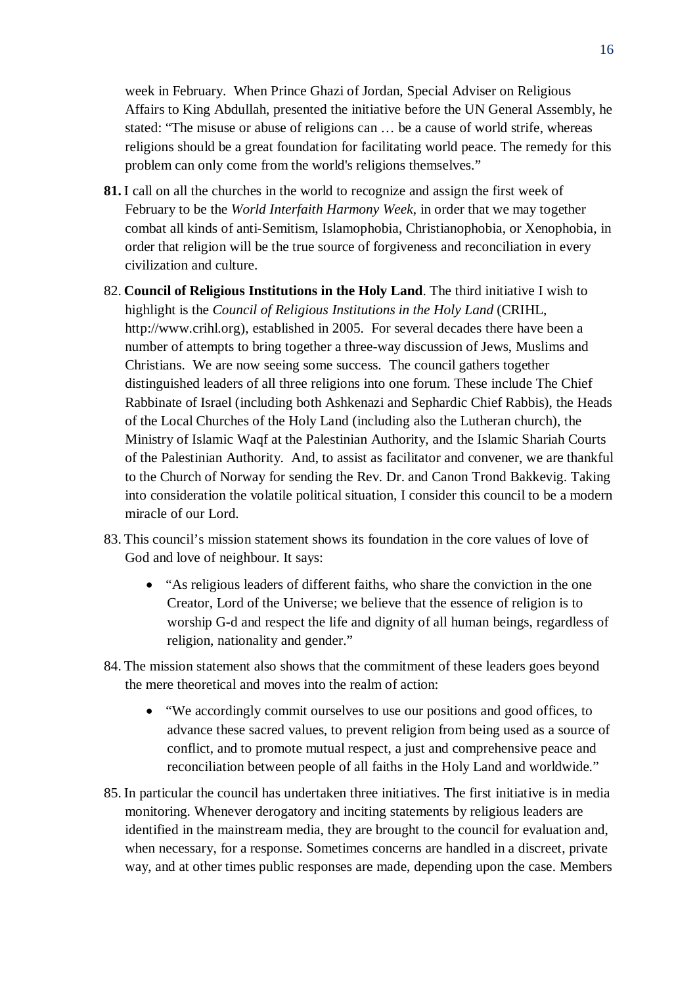week in February. When Prince Ghazi of Jordan, Special Adviser on Religious Affairs to King Abdullah, presented the initiative before the UN General Assembly, he stated: "The misuse or abuse of religions can … be a cause of world strife, whereas religions should be a great foundation for facilitating world peace. The remedy for this problem can only come from the world's religions themselves."

- **81.** I call on all the churches in the world to recognize and assign the first week of February to be the *World Interfaith Harmony Week*, in order that we may together combat all kinds of anti-Semitism, Islamophobia, Christianophobia, or Xenophobia, in order that religion will be the true source of forgiveness and reconciliation in every civilization and culture.
- 82. **Council of Religious Institutions in the Holy Land**. The third initiative I wish to highlight is the *Council of Religious Institutions in the Holy Land* (CRIHL, http://www.crihl.org), established in 2005. For several decades there have been a number of attempts to bring together a three-way discussion of Jews, Muslims and Christians. We are now seeing some success. The council gathers together distinguished leaders of all three religions into one forum. These include The Chief Rabbinate of Israel (including both Ashkenazi and Sephardic Chief Rabbis), the Heads of the Local Churches of the Holy Land (including also the Lutheran church), the Ministry of Islamic Waqf at the Palestinian Authority, and the Islamic Shariah Courts of the Palestinian Authority. And, to assist as facilitator and convener, we are thankful to the Church of Norway for sending the Rev. Dr. and Canon Trond Bakkevig. Taking into consideration the volatile political situation, I consider this council to be a modern miracle of our Lord.
- 83. This council's mission statement shows its foundation in the core values of love of God and love of neighbour. It says:
	- "As religious leaders of different faiths, who share the conviction in the one Creator, Lord of the Universe; we believe that the essence of religion is to worship G-d and respect the life and dignity of all human beings, regardless of religion, nationality and gender."
- 84. The mission statement also shows that the commitment of these leaders goes beyond the mere theoretical and moves into the realm of action:
	- "We accordingly commit ourselves to use our positions and good offices, to advance these sacred values, to prevent religion from being used as a source of conflict, and to promote mutual respect, a just and comprehensive peace and reconciliation between people of all faiths in the Holy Land and worldwide."
- 85. In particular the council has undertaken three initiatives. The first initiative is in media monitoring. Whenever derogatory and inciting statements by religious leaders are identified in the mainstream media, they are brought to the council for evaluation and, when necessary, for a response. Sometimes concerns are handled in a discreet, private way, and at other times public responses are made, depending upon the case. Members